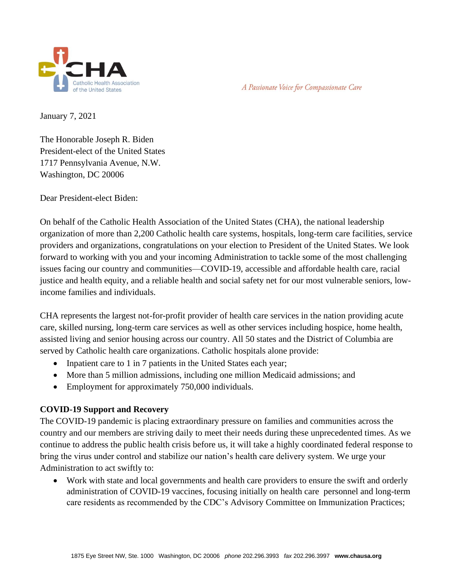

January 7, 2021

The Honorable Joseph R. Biden President-elect of the United States 1717 Pennsylvania Avenue, N.W. Washington, DC 20006

Dear President-elect Biden:

On behalf of the Catholic Health Association of the United States (CHA), the national leadership organization of more than 2,200 Catholic health care systems, hospitals, long-term care facilities, service providers and organizations, congratulations on your election to President of the United States. We look forward to working with you and your incoming Administration to tackle some of the most challenging issues facing our country and communities—COVID-19, accessible and affordable health care, racial justice and health equity, and a reliable health and social safety net for our most vulnerable seniors, lowincome families and individuals.

CHA represents the largest not-for-profit provider of health care services in the nation providing acute care, skilled nursing, long-term care services as well as other services including hospice, home health, assisted living and senior housing across our country. All 50 states and the District of Columbia are served by Catholic health care organizations. Catholic hospitals alone provide:

- Inpatient care to 1 in 7 patients in the United States each year;
- More than 5 million admissions, including one million Medicaid admissions; and
- Employment for approximately 750,000 individuals.

# **COVID-19 Support and Recovery**

The COVID-19 pandemic is placing extraordinary pressure on families and communities across the country and our members are striving daily to meet their needs during these unprecedented times. As we continue to address the public health crisis before us, it will take a highly coordinated federal response to bring the virus under control and stabilize our nation's health care delivery system. We urge your Administration to act swiftly to:

• Work with state and local governments and health care providers to ensure the swift and orderly administration of COVID-19 vaccines, focusing initially on health care personnel and long-term care residents as recommended by the CDC's Advisory Committee on Immunization Practices;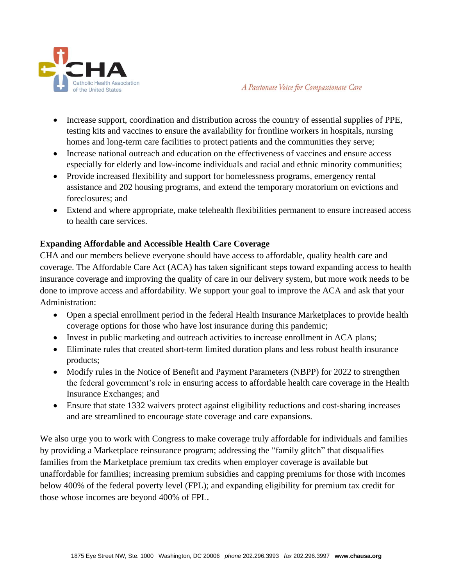

- Increase support, coordination and distribution across the country of essential supplies of PPE, testing kits and vaccines to ensure the availability for frontline workers in hospitals, nursing homes and long-term care facilities to protect patients and the communities they serve;
- Increase national outreach and education on the effectiveness of vaccines and ensure access especially for elderly and low-income individuals and racial and ethnic minority communities;
- Provide increased flexibility and support for homelessness programs, emergency rental assistance and 202 housing programs, and extend the temporary moratorium on evictions and foreclosures; and
- Extend and where appropriate, make telehealth flexibilities permanent to ensure increased access to health care services.

# **Expanding Affordable and Accessible Health Care Coverage**

CHA and our members believe everyone should have access to affordable, quality health care and coverage. The Affordable Care Act (ACA) has taken significant steps toward expanding access to health insurance coverage and improving the quality of care in our delivery system, but more work needs to be done to improve access and affordability. We support your goal to improve the ACA and ask that your Administration:

- Open a special enrollment period in the federal Health Insurance Marketplaces to provide health coverage options for those who have lost insurance during this pandemic;
- Invest in public marketing and outreach activities to increase enrollment in ACA plans;
- Eliminate rules that created short-term limited duration plans and less robust health insurance products;
- Modify rules in the Notice of Benefit and Payment Parameters (NBPP) for 2022 to strengthen the federal government's role in ensuring access to affordable health care coverage in the Health Insurance Exchanges; and
- Ensure that state 1332 waivers protect against eligibility reductions and cost-sharing increases and are streamlined to encourage state coverage and care expansions.

We also urge you to work with Congress to make coverage truly affordable for individuals and families by providing a Marketplace reinsurance program; addressing the "family glitch" that disqualifies families from the Marketplace premium tax credits when employer coverage is available but unaffordable for families; increasing premium subsidies and capping premiums for those with incomes below 400% of the federal poverty level (FPL); and expanding eligibility for premium tax credit for those whose incomes are beyond 400% of FPL.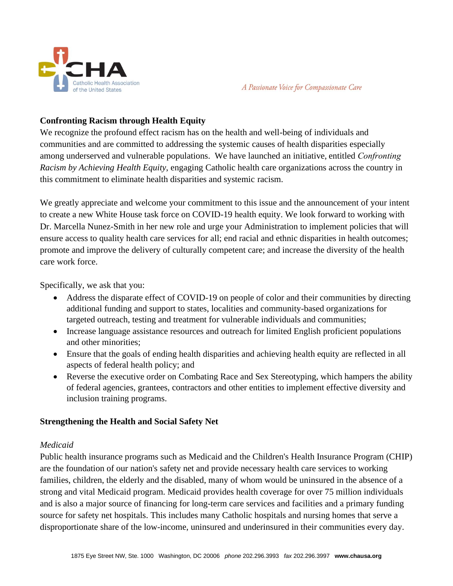

# **Confronting Racism through Health Equity**

We recognize the profound effect racism has on the health and well-being of individuals and communities and are committed to addressing the systemic causes of health disparities especially among underserved and vulnerable populations. We have launched an initiative, entitled *Confronting Racism by Achieving Health Equity*, engaging Catholic health care organizations across the country in this commitment to eliminate health disparities and systemic racism.

We greatly appreciate and welcome your commitment to this issue and the announcement of your intent to create a new White House task force on COVID-19 health equity. We look forward to working with Dr. Marcella Nunez-Smith in her new role and urge your Administration to implement policies that will ensure access to quality health care services for all; end racial and ethnic disparities in health outcomes; promote and improve the delivery of culturally competent care; and increase the diversity of the health care work force.

Specifically, we ask that you:

- Address the disparate effect of COVID-19 on people of color and their communities by directing additional funding and support to states, localities and community-based organizations for targeted outreach, testing and treatment for vulnerable individuals and communities;
- Increase language assistance resources and outreach for limited English proficient populations and other minorities;
- Ensure that the goals of ending health disparities and achieving health equity are reflected in all aspects of federal health policy; and
- Reverse the executive order on Combating Race and Sex Stereotyping, which hampers the ability of federal agencies, grantees, contractors and other entities to implement effective diversity and inclusion training programs.

# **Strengthening the Health and Social Safety Net**

# *Medicaid*

Public health insurance programs such as Medicaid and the Children's Health Insurance Program (CHIP) are the foundation of our nation's safety net and provide necessary health care services to working families, children, the elderly and the disabled, many of whom would be uninsured in the absence of a strong and vital Medicaid program. Medicaid provides health coverage for over 75 million individuals and is also a major source of financing for long-term care services and facilities and a primary funding source for safety net hospitals. This includes many Catholic hospitals and nursing homes that serve a disproportionate share of the low-income, uninsured and underinsured in their communities every day.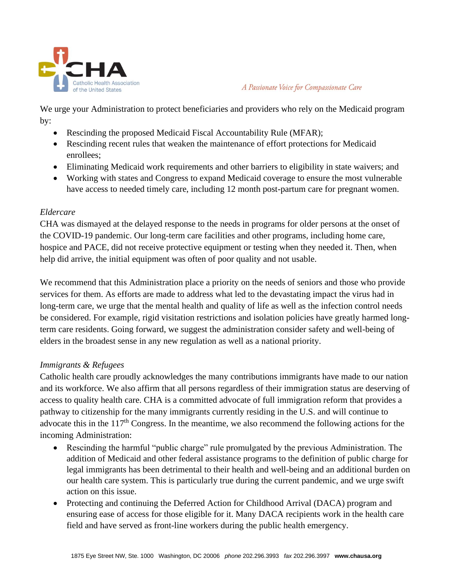

We urge your Administration to protect beneficiaries and providers who rely on the Medicaid program by:

- Rescinding the proposed Medicaid Fiscal Accountability Rule (MFAR);
- Rescinding recent rules that weaken the maintenance of effort protections for Medicaid enrollees;
- Eliminating Medicaid work requirements and other barriers to eligibility in state waivers; and
- Working with states and Congress to expand Medicaid coverage to ensure the most vulnerable have access to needed timely care, including 12 month post-partum care for pregnant women.

#### *Eldercare*

CHA was dismayed at the delayed response to the needs in programs for older persons at the onset of the COVID-19 pandemic. Our long-term care facilities and other programs, including home care, hospice and PACE, did not receive protective equipment or testing when they needed it. Then, when help did arrive, the initial equipment was often of poor quality and not usable.

We recommend that this Administration place a priority on the needs of seniors and those who provide services for them. As efforts are made to address what led to the devastating impact the virus had in long-term care, we urge that the mental health and quality of life as well as the infection control needs be considered. For example, rigid visitation restrictions and isolation policies have greatly harmed longterm care residents. Going forward, we suggest the administration consider safety and well-being of elders in the broadest sense in any new regulation as well as a national priority.

# *Immigrants & Refugees*

Catholic health care proudly acknowledges the many contributions immigrants have made to our nation and its workforce. We also affirm that all persons regardless of their immigration status are deserving of access to quality health care. CHA is a committed advocate of full immigration reform that provides a pathway to citizenship for the many immigrants currently residing in the U.S. and will continue to advocate this in the 117<sup>th</sup> Congress. In the meantime, we also recommend the following actions for the incoming Administration:

- Rescinding the harmful "public charge" rule promulgated by the previous Administration. The addition of Medicaid and other federal assistance programs to the definition of public charge for legal immigrants has been detrimental to their health and well-being and an additional burden on our health care system. This is particularly true during the current pandemic, and we urge swift action on this issue.
- Protecting and continuing the Deferred Action for Childhood Arrival (DACA) program and ensuring ease of access for those eligible for it. Many DACA recipients work in the health care field and have served as front-line workers during the public health emergency.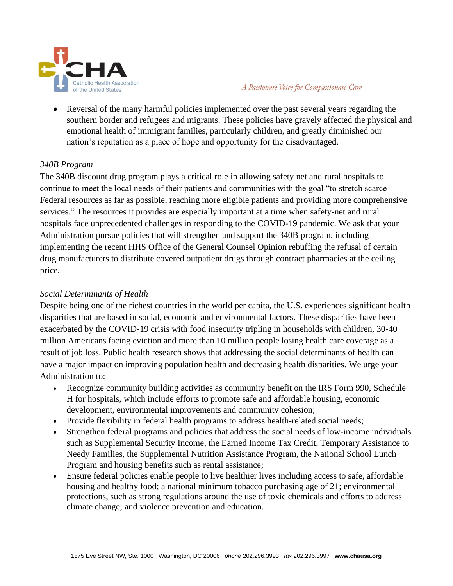

• Reversal of the many harmful policies implemented over the past several years regarding the southern border and refugees and migrants. These policies have gravely affected the physical and emotional health of immigrant families, particularly children, and greatly diminished our nation's reputation as a place of hope and opportunity for the disadvantaged.

#### *340B Program*

The 340B discount drug program plays a critical role in allowing safety net and rural hospitals to continue to meet the local needs of their patients and communities with the goal "to stretch scarce Federal resources as far as possible, reaching more eligible patients and providing more comprehensive services." The resources it provides are especially important at a time when safety-net and rural hospitals face unprecedented challenges in responding to the COVID-19 pandemic. We ask that your Administration pursue policies that will strengthen and support the 340B program, including implementing the recent HHS Office of the General Counsel Opinion rebuffing the refusal of certain drug manufacturers to distribute covered outpatient drugs through contract pharmacies at the ceiling price.

### *Social Determinants of Health*

Despite being one of the richest countries in the world per capita, the U.S. experiences significant health disparities that are based in social, economic and environmental factors. These disparities have been exacerbated by the COVID-19 crisis with food insecurity tripling in households with children, 30-40 million Americans facing eviction and more than 10 million people losing health care coverage as a result of job loss. Public health research shows that addressing the social determinants of health can have a major impact on improving population health and decreasing health disparities. We urge your Administration to:

- Recognize community building activities as community benefit on the IRS Form 990, Schedule H for hospitals, which include efforts to promote safe and affordable housing, economic development, environmental improvements and community cohesion;
- Provide flexibility in federal health programs to address health-related social needs;
- Strengthen federal programs and policies that address the social needs of low-income individuals such as Supplemental Security Income, the Earned Income Tax Credit, Temporary Assistance to Needy Families, the Supplemental Nutrition Assistance Program, the National School Lunch Program and housing benefits such as rental assistance;
- Ensure federal policies enable people to live healthier lives including access to safe, affordable housing and healthy food; a national minimum tobacco purchasing age of 21; environmental protections, such as strong regulations around the use of toxic chemicals and efforts to address climate change; and violence prevention and education.